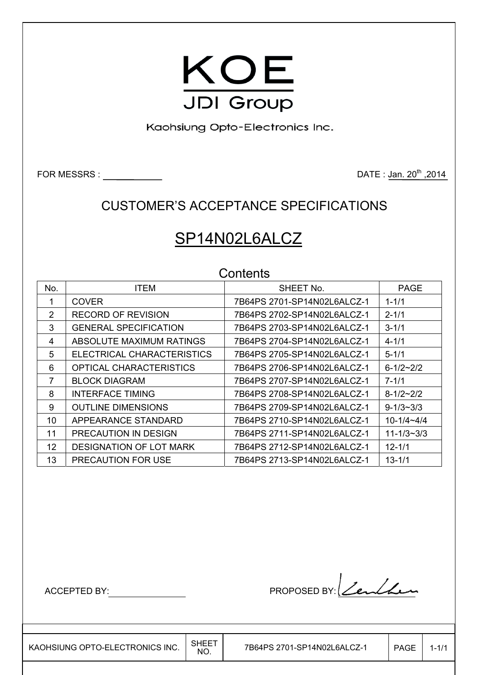

Kaohsiung Opto-Electronics Inc.

FOR MESSRS : DATE : Jan. 20<sup>th</sup> ,2014

### CUSTOMER'S ACCEPTANCE SPECIFICATIONS

# SP14N02L6ALCZ

| Contents |                                |                             |                    |  |  |
|----------|--------------------------------|-----------------------------|--------------------|--|--|
| No.      | <b>ITEM</b>                    | SHEET No.                   | <b>PAGE</b>        |  |  |
| 1        | <b>COVER</b>                   | 7B64PS 2701-SP14N02L6ALCZ-1 | $1 - 1/1$          |  |  |
| 2        | <b>RECORD OF REVISION</b>      | 7B64PS 2702-SP14N02L6ALCZ-1 | $2 - 1/1$          |  |  |
| 3        | <b>GENERAL SPECIFICATION</b>   | 7B64PS 2703-SP14N02L6ALCZ-1 | $3 - 1/1$          |  |  |
| 4        | ABSOLUTE MAXIMUM RATINGS       | 7B64PS 2704-SP14N02L6ALCZ-1 | $4 - 1/1$          |  |  |
| 5        | ELECTRICAL CHARACTERISTICS     | 7B64PS 2705-SP14N02L6ALCZ-1 | $5 - 1/1$          |  |  |
| 6        | OPTICAL CHARACTERISTICS        | 7B64PS 2706-SP14N02L6ALCZ-1 | $6 - 1/2 - 2/2$    |  |  |
| 7        | <b>BLOCK DIAGRAM</b>           | 7B64PS 2707-SP14N02L6ALCZ-1 | $7 - 1/1$          |  |  |
| 8        | <b>INTERFACE TIMING</b>        | 7B64PS 2708-SP14N02L6ALCZ-1 | $8 - 1/2 \sim 2/2$ |  |  |
| 9        | <b>OUTLINE DIMENSIONS</b>      |                             | $9 - 1/3 \sim 3/3$ |  |  |
| 10       | APPEARANCE STANDARD            | 7B64PS 2710-SP14N02L6ALCZ-1 | $10 - 1/4 - 4/4$   |  |  |
| 11       | PRECAUTION IN DESIGN           | 7B64PS 2711-SP14N02L6ALCZ-1 | $11 - 1/3 - 3/3$   |  |  |
| 12       | <b>DESIGNATION OF LOT MARK</b> | 7B64PS 2712-SP14N02L6ALCZ-1 | $12 - 1/1$         |  |  |
| 13       | <b>PRECAUTION FOR USE</b>      | 7B64PS 2713-SP14N02L6ALCZ-1 | $13 - 1/1$         |  |  |

ACCEPTED BY: PROPOSED BY: <u>Lendhe</u>n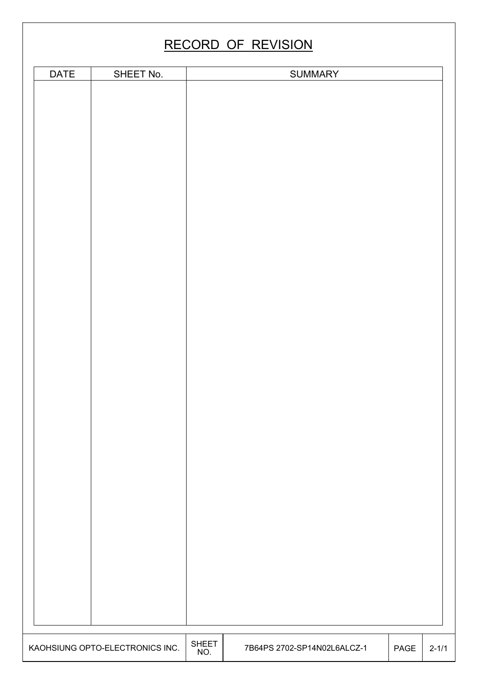## RECORD OF REVISION

| <b>DATE</b> | SHEET No.                       |                     | <b>SUMMARY</b>              |      |           |
|-------------|---------------------------------|---------------------|-----------------------------|------|-----------|
|             |                                 |                     |                             |      |           |
|             |                                 |                     |                             |      |           |
|             |                                 |                     |                             |      |           |
|             |                                 |                     |                             |      |           |
|             |                                 |                     |                             |      |           |
|             |                                 |                     |                             |      |           |
|             |                                 |                     |                             |      |           |
|             |                                 |                     |                             |      |           |
|             |                                 |                     |                             |      |           |
|             |                                 |                     |                             |      |           |
|             |                                 |                     |                             |      |           |
|             |                                 |                     |                             |      |           |
|             |                                 |                     |                             |      |           |
|             |                                 |                     |                             |      |           |
|             |                                 |                     |                             |      |           |
|             |                                 |                     |                             |      |           |
|             |                                 |                     |                             |      |           |
|             |                                 |                     |                             |      |           |
|             |                                 |                     |                             |      |           |
|             |                                 |                     |                             |      |           |
|             |                                 |                     |                             |      |           |
|             |                                 |                     |                             |      |           |
|             |                                 |                     |                             |      |           |
|             |                                 |                     |                             |      |           |
|             |                                 |                     |                             |      |           |
|             |                                 |                     |                             |      |           |
|             |                                 |                     |                             |      |           |
|             |                                 |                     |                             |      |           |
|             |                                 |                     |                             |      |           |
|             | KAOHSIUNG OPTO-ELECTRONICS INC. | <b>SHEET</b><br>NO. | 7B64PS 2702-SP14N02L6ALCZ-1 | PAGE | $2 - 1/1$ |

┞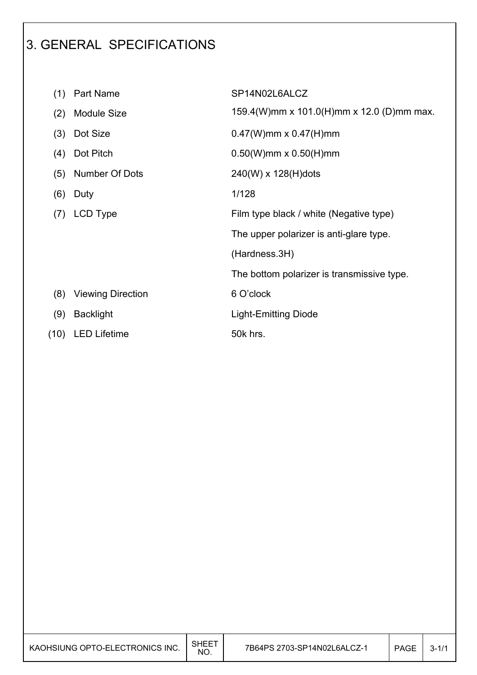## 3. GENERAL SPECIFICATIONS

| (1)  | Part Name                | SP14N02L6ALCZ                              |
|------|--------------------------|--------------------------------------------|
| (2)  | <b>Module Size</b>       | 159.4(W)mm x 101.0(H)mm x 12.0 (D)mm max.  |
| (3)  | Dot Size                 | $0.47(W)$ mm x $0.47(H)$ mm                |
| (4)  | Dot Pitch                | $0.50(W)$ mm x $0.50(H)$ mm                |
| (5)  | Number Of Dots           | $240(W) \times 128(H)$ dots                |
| (6)  | Duty                     | 1/128                                      |
| (7)  | LCD Type                 | Film type black / white (Negative type)    |
|      |                          | The upper polarizer is anti-glare type.    |
|      |                          | (Hardness.3H)                              |
|      |                          | The bottom polarizer is transmissive type. |
| (8)  | <b>Viewing Direction</b> | 6 O'clock                                  |
| (9)  | <b>Backlight</b>         | <b>Light-Emitting Diode</b>                |
| (10) | <b>LED Lifetime</b>      | 50k hrs.                                   |

I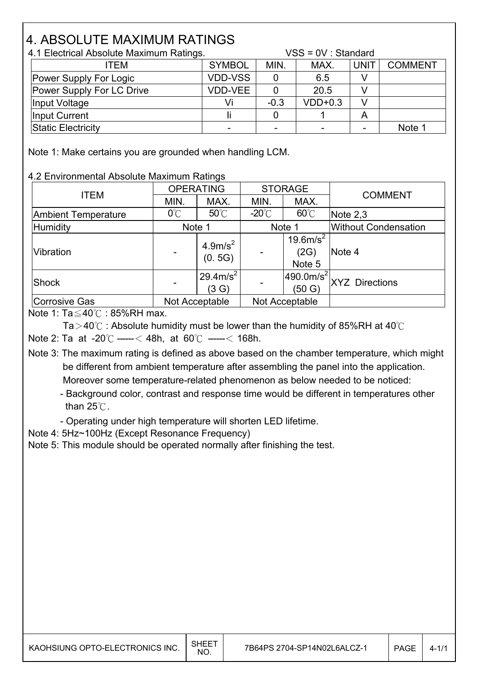## 4. ABSOLUTE MAXIMUM RATINGS

| 4.1 Electrical Absolute Maximum Ratings. |                |        | $VSS = OV$ : Standard |             |                |
|------------------------------------------|----------------|--------|-----------------------|-------------|----------------|
| ITEM                                     | <b>SYMBOL</b>  | MIN.   | MAX.                  | <b>UNIT</b> | <b>COMMENT</b> |
| Power Supply For Logic                   | <b>VDD-VSS</b> |        | 6.5                   |             |                |
| Power Supply For LC Drive                | <b>VDD-VEE</b> |        | 20.5                  |             |                |
| Input Voltage                            | Vi             | $-0.3$ | $VDD+0.3$             | V           |                |
| Input Current                            |                |        |                       | Α           |                |
| Static Electricity                       |                |        |                       |             | Note 1         |

Note 1: Make certains you are grounded when handling LCM.

#### 4.2 Environmental Absolute Maximum Ratings

| <b>ITEM</b>                | <b>OPERATING</b> |                                   | <b>STORAGE</b>   |                                        | <b>COMMENT</b>              |  |
|----------------------------|------------------|-----------------------------------|------------------|----------------------------------------|-----------------------------|--|
|                            | MIN.             | MAX.                              | MIN.             | MAX.                                   |                             |  |
| <b>Ambient Temperature</b> | $0^{\circ}$ C    | $50^{\circ}$ C                    | -20 $^{\circ}$ C | $60^{\circ}$ C                         | Note $2,3$                  |  |
| <b>Humidity</b>            | Note 1           |                                   | Note 1           |                                        | <b>Without Condensation</b> |  |
| Vibration                  |                  | 4.9m/s <sup>2</sup><br>(0.5G)     |                  | 19.6m/s <sup>2</sup><br>(2G)<br>Note 5 | Note 4                      |  |
| <b>Shock</b>               |                  | $129.4$ m/s <sup>2</sup><br>(3 G) |                  | $ 490.0m/s^2 $<br>(50 G)               | <b>XYZ Directions</b>       |  |
| <b>Corrosive Gas</b>       |                  | Not Acceptable                    |                  | Not Acceptable                         |                             |  |

Note 1:  $Ta \leq 40^\circ$ C : 85%RH max.

 $\overline{\phantom{a}}$ 

I

I

 $\overline{\phantom{a}}$ 

Ta >40 $\degree$  : Absolute humidity must be lower than the humidity of 85%RH at 40 $\degree$ C

Note 2: Ta at -20 $\degree$ C -----< 48h, at 60 $\degree$  -----< 168h.

 Note 3: The maximum rating is defined as above based on the chamber temperature, which might be different from ambient temperature after assembling the panel into the application. Moreover some temperature-related phenomenon as below needed to be noticed:

 - Background color, contrast and response time would be different in temperatures other than  $25^\circ$ .

- Operating under high temperature will shorten LED lifetime.

Note 4: 5Hz~100Hz (Except Resonance Frequency)

Note 5: This module should be operated normally after finishing the test.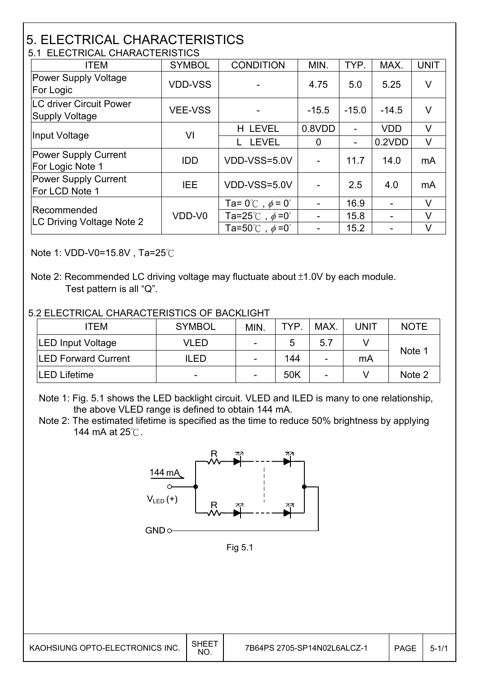# 5. ELECTRICAL CHARACTERISTICS

| 5.1 ELECTRICAL CHARACTERISTICS                    |                |                                          |         |                |            |             |  |
|---------------------------------------------------|----------------|------------------------------------------|---------|----------------|------------|-------------|--|
| <b>ITEM</b>                                       | <b>SYMBOL</b>  | <b>CONDITION</b>                         | MIN.    | TYP.           | MAX.       | <b>UNIT</b> |  |
| <b>Power Supply Voltage</b><br>For Logic          | <b>VDD-VSS</b> |                                          | 4.75    | 5.0            | 5.25       | $\vee$      |  |
| <b>ILC driver Circuit Power</b><br>Supply Voltage | <b>VEE-VSS</b> |                                          | $-15.5$ | $-15.0$        | $-14.5$    | $\vee$      |  |
|                                                   | VI             | H LEVEL                                  | 0.8VDD  | $\blacksquare$ | <b>VDD</b> | $\vee$      |  |
| Input Voltage                                     |                | <b>LEVEL</b>                             | 0       |                | 0.2VDD     | $\vee$      |  |
| Power Supply Current<br>For Logic Note 1          | <b>IDD</b>     | VDD-VSS=5.0V                             |         | 11.7           | 14.0       | mA          |  |
| Power Supply Current<br>For LCD Note 1            | <b>IEE</b>     | VDD-VSS=5.0V                             |         | 2.5            | 4.0        | mA          |  |
|                                                   |                | Ta= $0^{\circ}$ C, $\phi$ = $0^{\circ}$  |         | 16.9           |            | $\vee$      |  |
| Recommended                                       | VDD-V0         | Ta=25 $^{\circ}$ C, $\phi$ =0 $^{\circ}$ |         | 15.8           |            | $\vee$      |  |
| LC Driving Voltage Note 2                         |                | Ta=50 $^{\circ}$ C, $\phi$ =0 $^{\circ}$ |         | 15.2           |            | $\vee$      |  |

Note 1: VDD-V0=15.8V, Ta=25°C

I

I

Note 2: Recommended LC driving voltage may fluctuate about  $\pm 1.0V$  by each module. Test pattern is all "Q".

#### 5.2 ELECTRICAL CHARACTERISTICS OF BACKLIGHT

| ITEM                       | <b>SYMBOL</b> | MIN.                     | TYP. | MAX.                     | <b>UNIT</b> | <b>NOTE</b> |
|----------------------------|---------------|--------------------------|------|--------------------------|-------------|-------------|
| <b>LED Input Voltage</b>   | VLED          | -                        | 5    | 5.7                      |             |             |
| <b>LED Forward Current</b> | ILED          | -                        | 144  | -                        | mA          | Note 1      |
| <b>LED Lifetime</b>        |               | $\overline{\phantom{a}}$ | 50K  | $\overline{\phantom{a}}$ |             | Note 2      |

 Note 1: Fig. 5.1 shows the LED backlight circuit. VLED and ILED is many to one relationship, the above VLED range is defined to obtain 144 mA.

 Note 2: The estimated lifetime is specified as the time to reduce 50% brightness by applying 144 mA at  $25^\circ$ C.



Fig 5.1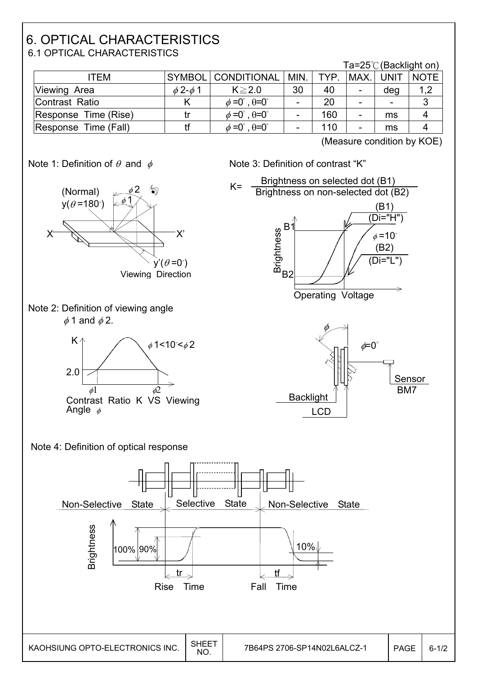#### 6. OPTICAL CHARACTERISTICS 6.1 OPTICAL CHARACTERISTICS

ITEM SYMBOL CONDITIONAL MIN. TYP. MAX. UNIT NOTE Viewing Area  $\vert\phi\,2- \phi\,1\,\vert$  K $\geqq 2.0$   $\vert\,$  30  $\vert\,$  40  $\vert$  -  $\vert$  deg  $\vert\,$  1,2 Contrast Ratio  $K = \begin{bmatrix} 6 & -0 \\ 6 & -0 \end{bmatrix}$  -  $\begin{bmatrix} - & 20 \\ - & - & - \end{bmatrix}$  -  $\begin{bmatrix} - & 3 \\ - & - & 3 \end{bmatrix}$ Response Time (Rise)  $\vert$  tr  $\vert \phi = 0^\circ, \theta = 0^\circ$  | - | 160 | - | ms | 4 Response Time (Fall)  $\uparrow$  ff  $\downarrow$   $\phi = 0^\circ$ ,  $\theta = 0^\circ$  | - | 110 | - | ms | 4







(Measure condition by KOE)





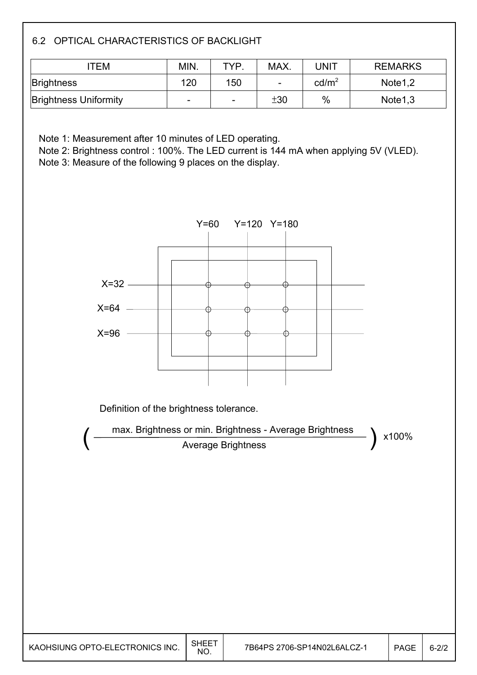#### 6.2 OPTICAL CHARACTERISTICS OF BACKLIGHT

| TEM                          | MIN.                     | TYP.                     | MAX.                     | UNIT              | <b>REMARKS</b>      |
|------------------------------|--------------------------|--------------------------|--------------------------|-------------------|---------------------|
| Brightness                   | 120                      | 150                      | $\overline{\phantom{a}}$ | cd/m <sup>2</sup> | Note <sub>1,2</sub> |
| <b>Brightness Uniformity</b> | $\overline{\phantom{a}}$ | $\overline{\phantom{a}}$ | ±30                      | $\%$              | Note <sub>1,3</sub> |

Note 1: Measurement after 10 minutes of LED operating.

Note 2: Brightness control : 100%. The LED current is 144 mA when applying 5V (VLED).

Note 3: Measure of the following 9 places on the display.

I

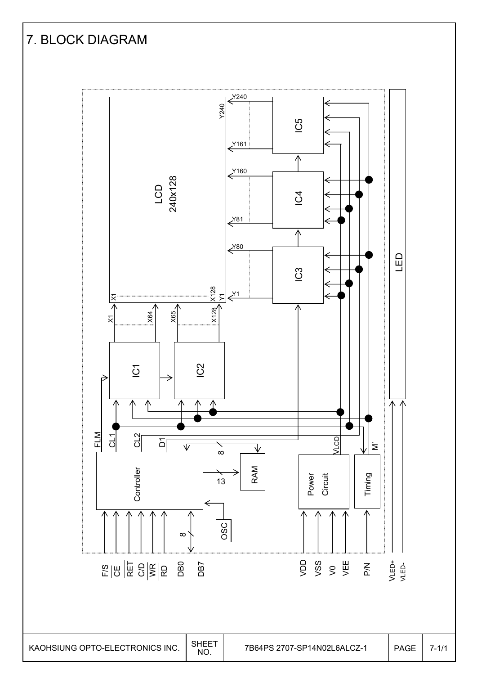## 7. BLOCK DIAGRAM

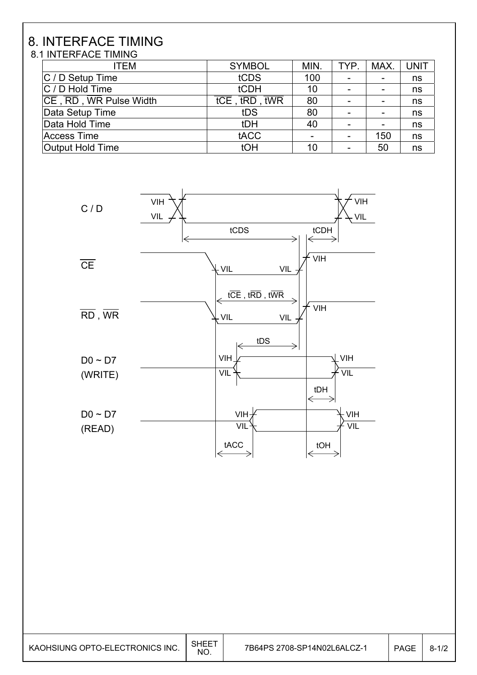#### 8. INTERFACE TIMING 8.1 INTERFACE TIMING

 $\overline{\phantom{a}}$ 

| <b>ITEM</b>            | <b>SYMBOL</b>         | MIN. | TYP. | MAX. | <b>UNIT</b> |
|------------------------|-----------------------|------|------|------|-------------|
| $ C / D$ Setup Time    | tCDS                  | 100  |      |      | ns          |
| $ C / D$ Hold Time     | tCDH                  | 10   |      |      | ns          |
| CE, RD, WR Pulse Width | $tCE$ , $tRD$ , $tWR$ | 80   |      |      | ns          |
| Data Setup Time        | tDS                   | 80   |      |      | ns          |
| Data Hold Time         | <b>tDH</b>            | 40   |      |      | ns          |
| <b>Access Time</b>     | tACC                  |      |      | 150  | ns          |
| Output Hold Time       | tOH                   | 10   |      | 50   | ns          |



KAOHSIUNG OPTO-ELECTRONICS INC. SHEET 7B64PS 2708-SP14N02L6ALCZ-1 | PAGE | 8-1/2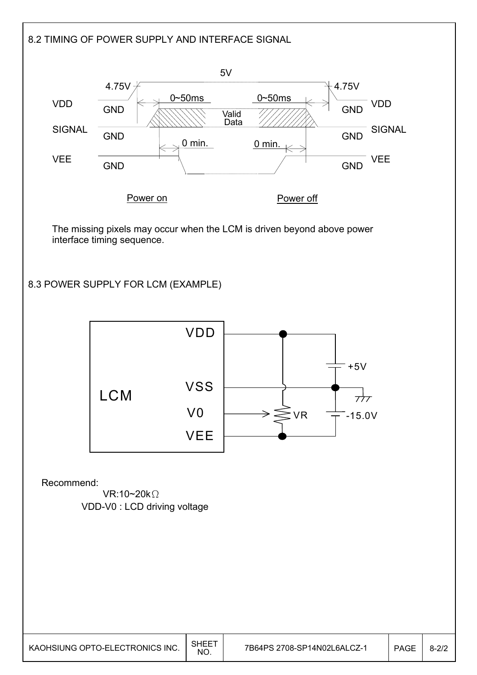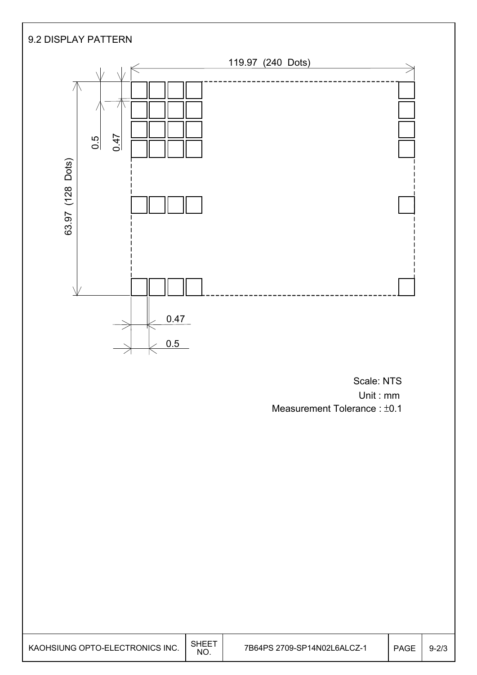

 Unit : mm Measurement Tolerance : ±0.1

| KAOHSIUNG OPTO-ELECTRONICS INC. | SHEE <sup>-</sup><br><b>NO</b> | 7B64PS 2709-SP14N02L6ALCZ-1 | <b>PAGE</b> | $9 - 2/3$ |
|---------------------------------|--------------------------------|-----------------------------|-------------|-----------|
|---------------------------------|--------------------------------|-----------------------------|-------------|-----------|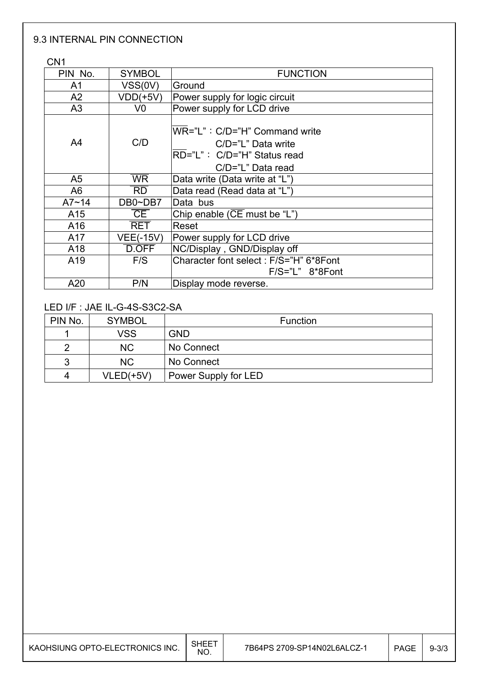#### 9.3 INTERNAL PIN CONNECTION

C<sub>N1</sub>

I

| <b>JIII</b>     |                      |                                                             |
|-----------------|----------------------|-------------------------------------------------------------|
| PIN No.         | <b>SYMBOL</b>        | <b>FUNCTION</b>                                             |
| A <sub>1</sub>  | VSS(0V)              | Ground                                                      |
| A2              | $VDD(+5V)$           | Power supply for logic circuit                              |
| A3              | V <sub>0</sub>       | Power supply for LCD drive                                  |
| A4              | C/D                  | WR="L": C/D="H" Command write<br>C/D="L" Data write         |
|                 |                      | RD="L": C/D="H" Status read                                 |
|                 |                      | C/D="L" Data read                                           |
| A <sub>5</sub>  | <b>WR</b>            | Data write (Data write at "L")                              |
| A6              | <b>RD</b>            | Data read (Read data at "L")                                |
| $A7 - 14$       | DB0~DB7              | Data bus                                                    |
| A15             | CE                   | Chip enable ( $\overline{CE}$ must be "L")                  |
| A16             | $\overline{\sf RET}$ | Reset                                                       |
| A17             | <b>VEE(-15V)</b>     | Power supply for LCD drive                                  |
| A18             | D.OFF                | NC/Display, GND/Display off                                 |
| A <sub>19</sub> | F/S                  | Character font select: F/S="H" 6*8Font<br>$F/S="L" 8*8Font$ |
| A20             | P/N                  | Display mode reverse.                                       |

#### LED I/F : JAE IL-G-4S-S3C2-SA

| PIN No. | <b>SYMBOL</b> | <b>Function</b>      |
|---------|---------------|----------------------|
|         | <b>VSS</b>    | <b>GND</b>           |
| ົ       | <b>NC</b>     | No Connect           |
| 3       | <b>NC</b>     | No Connect           |
| 4       | $VLED(+5V)$   | Power Supply for LED |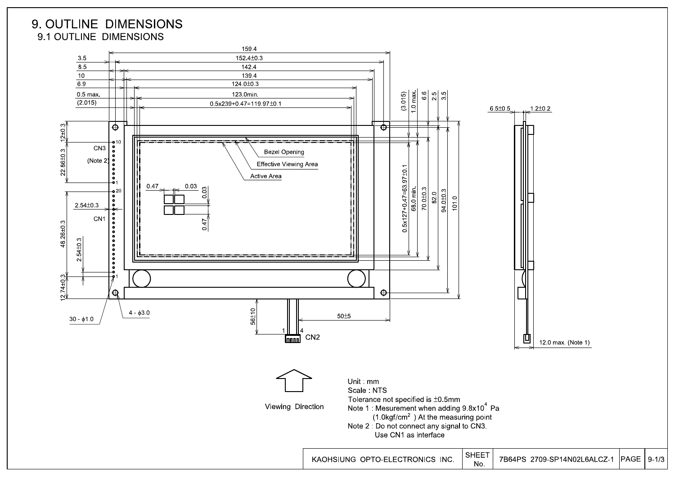

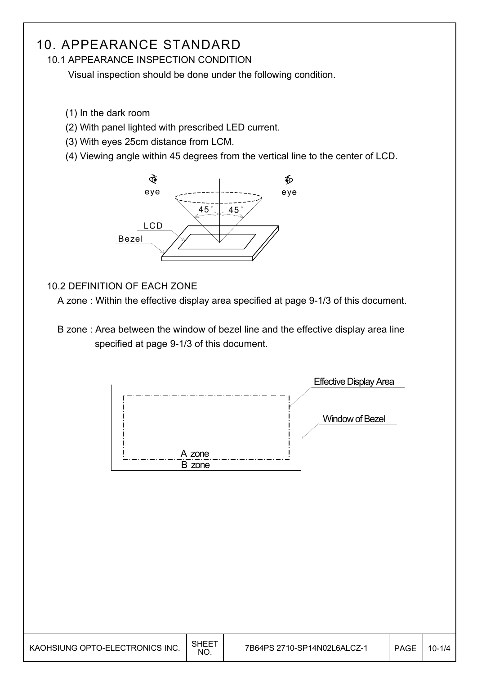### 10. APPEARANCE STANDARD

#### 10.1 APPEARANCE INSPECTION CONDITION

Visual inspection should be done under the following condition.

- (1) In the dark room
- (2) With panel lighted with prescribed LED current.
- (3) With eyes 25cm distance from LCM.
- (4) Viewing angle within 45 degrees from the vertical line to the center of LCD.



#### 10.2 DEFINITION OF EACH ZONE

A zone : Within the effective display area specified at page 9-1/3 of this document.

 B zone : Area between the window of bezel line and the effective display area line specified at page 9-1/3 of this document.

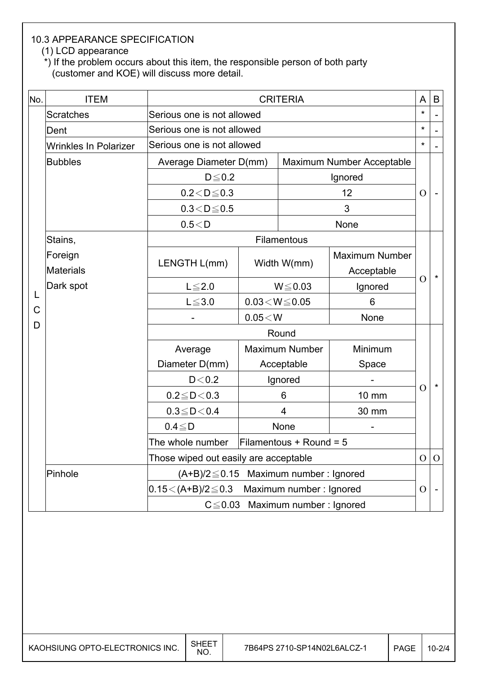#### 10.3 APPEARANCE SPECIFICATION

(1) LCD appearance

 \*) If the problem occurs about this item, the responsible person of both party (customer and KOE) will discuss more detail.

| No.    | <b>ITEM</b>                  | <b>CRITERIA</b><br>A                        |                               |                           |                       |               | B            |  |  |  |  |
|--------|------------------------------|---------------------------------------------|-------------------------------|---------------------------|-----------------------|---------------|--------------|--|--|--|--|
|        | <b>Scratches</b>             | Serious one is not allowed                  |                               |                           |                       | $\star$       |              |  |  |  |  |
|        | Dent                         | Serious one is not allowed                  |                               |                           |                       | $\star$       |              |  |  |  |  |
|        | <b>Wrinkles In Polarizer</b> | Serious one is not allowed                  |                               |                           |                       | $\star$       |              |  |  |  |  |
|        | <b>Bubbles</b>               | Average Diameter D(mm)                      |                               | Maximum Number Acceptable |                       | $\mathcal{O}$ |              |  |  |  |  |
|        |                              | $D \leq 0.2$                                |                               | Ignored                   |                       |               |              |  |  |  |  |
|        |                              | $0.2 < D \le 0.3$                           |                               | 12                        |                       |               |              |  |  |  |  |
|        |                              | $0.3\!<\!D\!\leq\!0.5$                      |                               | 3                         |                       |               |              |  |  |  |  |
|        |                              | 0.5 < D                                     |                               | None                      |                       |               |              |  |  |  |  |
|        | Stains,                      |                                             |                               | Filamentous               |                       |               |              |  |  |  |  |
|        | Foreign                      |                                             | Width W(mm)                   |                           | <b>Maximum Number</b> |               |              |  |  |  |  |
|        | Materials                    | LENGTH L(mm)                                |                               |                           | Acceptable            | $\Omega$      | $\star$      |  |  |  |  |
|        | Dark spot                    | $L \leq 2.0$                                |                               | $W \le 0.03$              | Ignored               |               |              |  |  |  |  |
| L<br>C |                              | $L \le 3.0$                                 | $0.03\!<\!W\!\leq\!0.05$<br>6 |                           |                       |               |              |  |  |  |  |
| D      |                              |                                             | $0.05\!<\!W$                  |                           | None                  |               |              |  |  |  |  |
|        |                              | Round                                       |                               |                           |                       |               |              |  |  |  |  |
|        |                              | Average                                     |                               | <b>Maximum Number</b>     | Minimum               |               |              |  |  |  |  |
|        |                              | Diameter D(mm)                              |                               | Acceptable                | Space                 |               |              |  |  |  |  |
|        |                              | D < 0.2                                     |                               | Ignored                   |                       | O             | $\star$      |  |  |  |  |
|        |                              | $0.2 \leq D \leq 0.3$                       |                               | 6                         | 10 mm                 |               |              |  |  |  |  |
|        |                              | $0.3 \leq D < 0.4$                          |                               | $\overline{4}$            | 30 mm                 |               |              |  |  |  |  |
|        |                              | $0.4 \leq D$                                |                               | None                      |                       |               |              |  |  |  |  |
|        |                              | The whole number                            | Filamentous + Round = 5       |                           |                       |               |              |  |  |  |  |
|        |                              | Those wiped out easily are acceptable       |                               |                           |                       | $\mathbf{O}$  | $\mathbf{O}$ |  |  |  |  |
|        | Pinhole                      | $(A+B)/2 \leq 0.15$ Maximum number: Ignored |                               |                           |                       |               |              |  |  |  |  |
|        |                              | $0.15 < (A+B)/2 \le 0.3$                    |                               | Maximum number: Ignored   |                       | $\Omega$      |              |  |  |  |  |
|        |                              | $C\leqq 0.03$                               |                               | Maximum number: Ignored   |                       |               |              |  |  |  |  |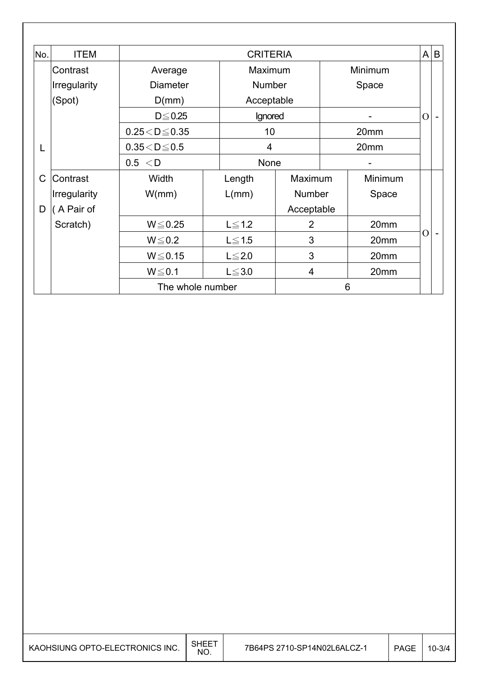| No. | <b>ITEM</b>         | <b>CRITERIA</b>            |  |                |                |  | A       | B |   |
|-----|---------------------|----------------------------|--|----------------|----------------|--|---------|---|---|
|     | Contrast            | Average<br><b>Diameter</b> |  | Maximum        |                |  | Minimum |   |   |
|     | Irregularity        |                            |  | <b>Number</b>  |                |  | Space   |   |   |
|     | (Spot)              | D(mm)                      |  |                | Acceptable     |  |         |   |   |
|     |                     | $D \le 0.25$               |  | Ignored        |                |  |         |   |   |
|     |                     | $0.25 < D \le 0.35$        |  | 10             |                |  | 20mm    |   |   |
| L   |                     | $0.35\!<\!D\!\leq\!0.5$    |  | $\overline{4}$ |                |  | 20mm    |   |   |
|     |                     | 0.5 < D                    |  | None           |                |  |         |   |   |
| C   | Contrast            | Width                      |  | Length         | Maximum        |  | Minimum |   |   |
|     | <b>Irregularity</b> | W/mm)                      |  | L/mm)          | <b>Number</b>  |  | Space   |   |   |
| D   | (A Pair of          |                            |  |                | Acceptable     |  |         |   |   |
|     | Scratch)            | $W \le 0.25$               |  | $L \leq 1.2$   | $\overline{2}$ |  | 20mm    |   |   |
|     |                     | $W \le 0.2$                |  | $L \leq 1.5$   | 3              |  | 20mm    | O | - |
|     |                     | $W \le 0.15$               |  | $L \leq 2.0$   | 3              |  | 20mm    |   |   |
|     |                     | $W \le 0.1$                |  | $L \leq 3.0$   | 4              |  | 20mm    |   |   |
|     |                     | The whole number           |  |                | 6              |  |         |   |   |

 $\overline{\phantom{a}}$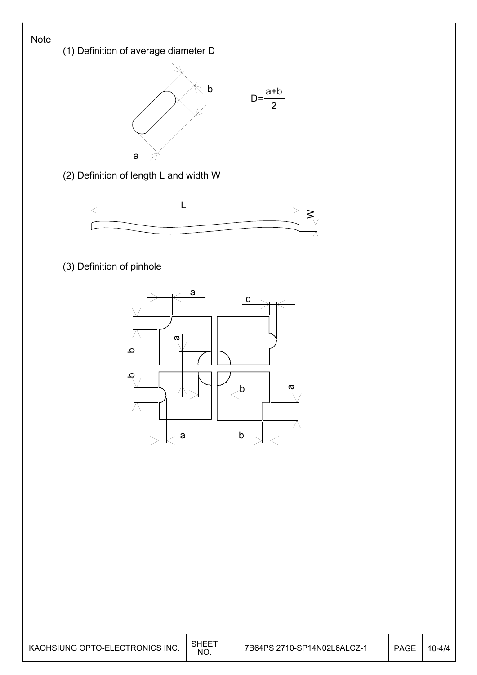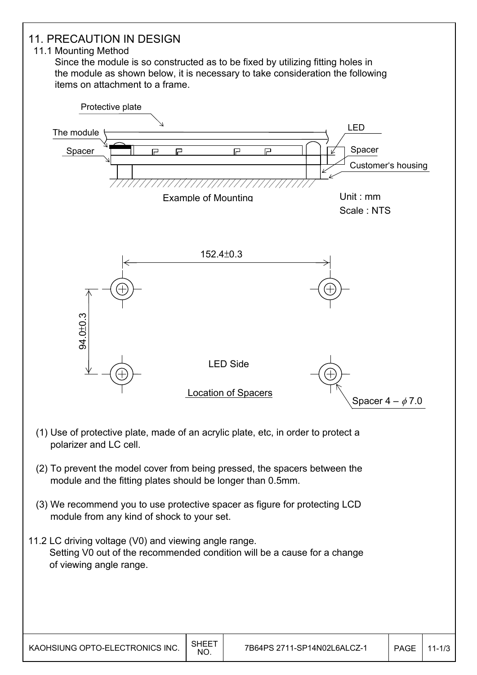

 Setting V0 out of the recommended condition will be a cause for a change of viewing angle range.

 $\overline{\phantom{a}}$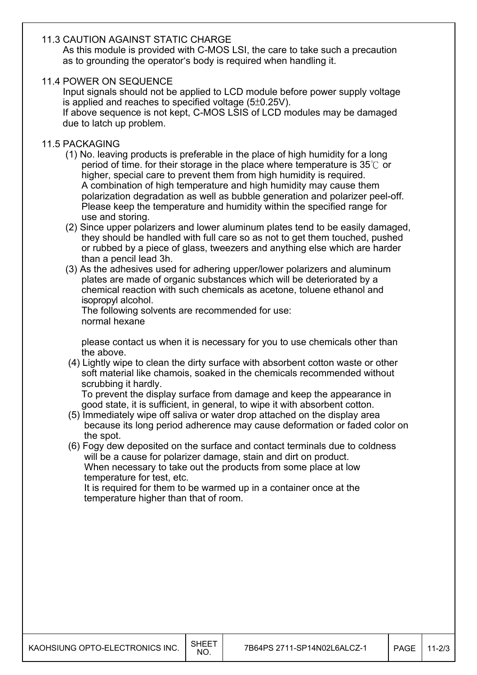#### 11.3 CAUTION AGAINST STATIC CHARGE

 As this module is provided with C-MOS LSI, the care to take such a precaution as to grounding the operator's body is required when handling it.

#### 11.4 POWER ON SEQUENCE

 Input signals should not be applied to LCD module before power supply voltage is applied and reaches to specified voltage  $(5\pm0.25V)$ .

 If above sequence is not kept, C-MOS LSIS of LCD modules may be damaged due to latch up problem.

#### 11.5 PACKAGING

- (1) No. leaving products is preferable in the place of high humidity for a long period of time. for their storage in the place where temperature is  $35^{\circ}$  or higher, special care to prevent them from high humidity is required. A combination of high temperature and high humidity may cause them polarization degradation as well as bubble generation and polarizer peel-off. Please keep the temperature and humidity within the specified range for use and storing.
- (2) Since upper polarizers and lower aluminum plates tend to be easily damaged, they should be handled with full care so as not to get them touched, pushed or rubbed by a piece of glass, tweezers and anything else which are harder than a pencil lead 3h.
- (3) As the adhesives used for adhering upper/lower polarizers and aluminum plates are made of organic substances which will be deteriorated by a chemical reaction with such chemicals as acetone, toluene ethanol and isopropyl alcohol.

 The following solvents are recommended for use: normal hexane

 please contact us when it is necessary for you to use chemicals other than the above.

 (4) Lightly wipe to clean the dirty surface with absorbent cotton waste or other soft material like chamois, soaked in the chemicals recommended without scrubbing it hardly.

 To prevent the display surface from damage and keep the appearance in good state, it is sufficient, in general, to wipe it with absorbent cotton.

- (5) Immediately wipe off saliva or water drop attached on the display area because its long period adherence may cause deformation or faded color on the spot.
- (6) Fogy dew deposited on the surface and contact terminals due to coldness will be a cause for polarizer damage, stain and dirt on product. When necessary to take out the products from some place at low temperature for test, etc.

 It is required for them to be warmed up in a container once at the temperature higher than that of room.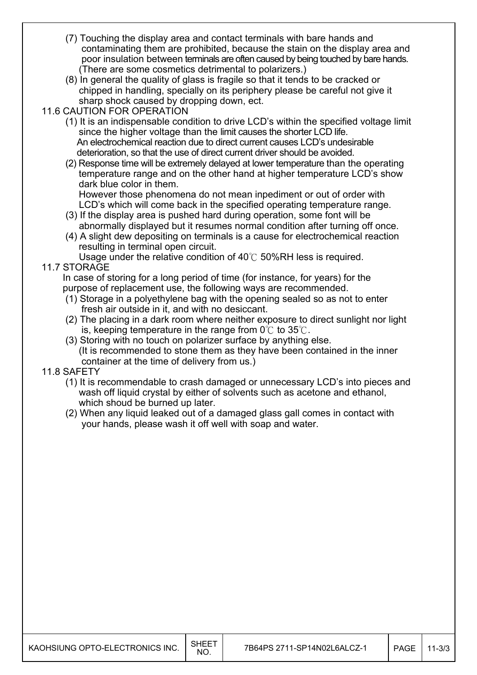- (7) Touching the display area and contact terminals with bare hands and contaminating them are prohibited, because the stain on the display area and poor insulation between terminals are often caused by being touched by bare hands. (There are some cosmetics detrimental to polarizers.)
- (8) In general the quality of glass is fragile so that it tends to be cracked or chipped in handling, specially on its periphery please be careful not give it sharp shock caused by dropping down, ect.
- 11.6 CAUTION FOR OPERATION
	- (1) It is an indispensable condition to drive LCD's within the specified voltage limit since the higher voltage than the limit causes the shorter LCD life. An electrochemical reaction due to direct current causes LCD's undesirable deterioration, so that the use of direct current driver should be avoided.
	- (2) Response time will be extremely delayed at lower temperature than the operating temperature range and on the other hand at higher temperature LCD's show dark blue color in them.

 However those phenomena do not mean inpediment or out of order with LCD's which will come back in the specified operating temperature range.

- (3) If the display area is pushed hard during operation, some font will be abnormally displayed but it resumes normal condition after turning off once.
- (4) A slight dew depositing on terminals is a cause for electrochemical reaction resulting in terminal open circuit.

Usage under the relative condition of  $40^{\circ}$  50%RH less is required.

11.7 STORAGE

 In case of storing for a long period of time (for instance, for years) for the purpose of replacement use, the following ways are recommended.

- (1) Storage in a polyethylene bag with the opening sealed so as not to enter fresh air outside in it, and with no desiccant.
- (2) The placing in a dark room where neither exposure to direct sunlight nor light is, keeping temperature in the range from  $0^{\circ}$  to 35 $^{\circ}$ .
- (3) Storing with no touch on polarizer surface by anything else. (It is recommended to stone them as they have been contained in the inner container at the time of delivery from us.)
- 11.8 SAFETY
	- (1) It is recommendable to crash damaged or unnecessary LCD's into pieces and wash off liquid crystal by either of solvents such as acetone and ethanol, which shoud be burned up later.
	- (2) When any liquid leaked out of a damaged glass gall comes in contact with your hands, please wash it off well with soap and water.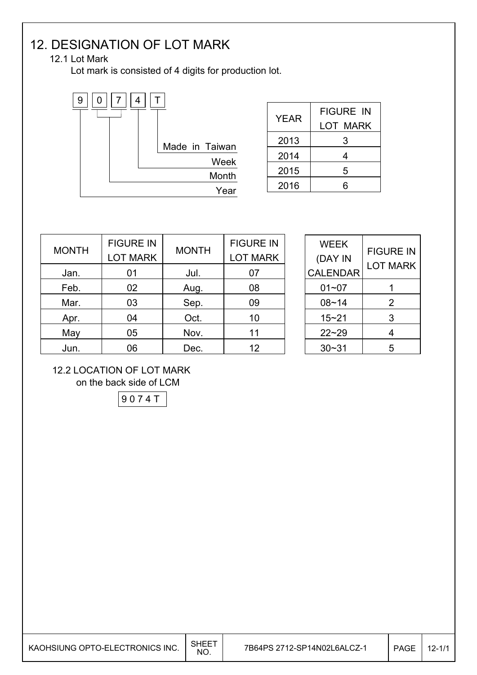### 12. DESIGNATION OF LOT MARK

#### 12.1 Lot Mark

Lot mark is consisted of 4 digits for production lot.



| YEAR | <b>FIGURE IN</b><br><b>LOT MARK</b> |
|------|-------------------------------------|
|      |                                     |
| 2013 | 3                                   |
| 2014 | 4                                   |
| 2015 | 5                                   |
| 2016 |                                     |

| <b>MONTH</b> | <b>FIGURE IN</b><br><b>LOT MARK</b> | <b>MONTH</b> | <b>FIGURE IN</b><br><b>LOT MARK</b> |
|--------------|-------------------------------------|--------------|-------------------------------------|
| Jan.         | 01                                  | Jul.         | 07                                  |
| Feb.         | 02                                  | Aug.         | 08                                  |
| Mar.         | 03                                  | Sep.         | 09                                  |
| Apr.         | 04                                  | Oct.         | 10                                  |
| May          | 05                                  | Nov.         | 11                                  |
| Jun.         | 06                                  | Dec.         | 12                                  |

| WEEK<br>(DAY IN<br><b>CALENDAR</b> | <b>FIGURE IN</b><br><b>LOT MARK</b> |
|------------------------------------|-------------------------------------|
| $01 - 07$                          | 1                                   |
| 08~14                              | 2                                   |
| $15 - 21$                          | 3                                   |
| $22 - 29$                          | 4                                   |
| 30~31                              | 5                                   |

 12.2 LOCATION OF LOT MARK on the back side of LCM

9 0 7 4 T